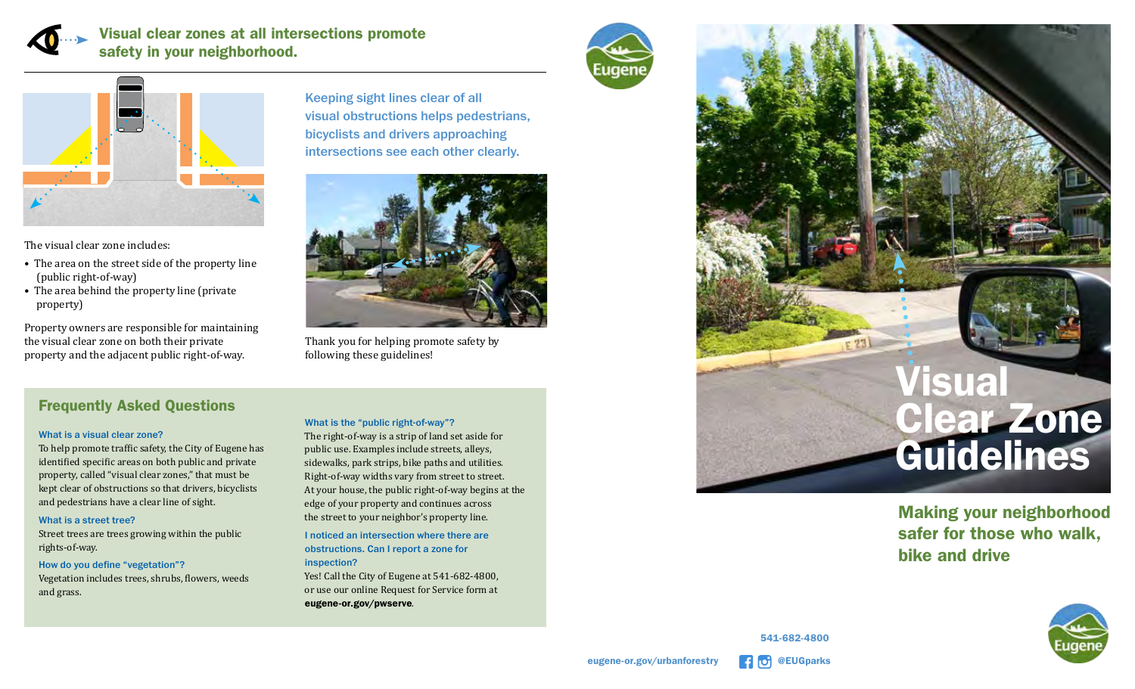

## Visual clear zones at all intersections promote safety in your neighborhood.



The visual clear zone includes:

- The area on the street side of the property line (public right-of-way)
- The area behind the property line (private property)

Property owners are responsible for maintaining the visual clear zone on both their private property and the adjacent public right-of-way.

# Frequently Asked Questions

#### What is a visual clear zone?

To help promote traffic safety, the City of Eugene has identified specific areas on both public and private property, called "visual clear zones," that must be kept clear of obstructions so that drivers, bicyclists and pedestrians have a clear line of sight.

#### What is a street tree?

Street trees are trees growing within the public rights-of-way.

#### How do you define "vegetation"?

Vegetation includes trees, shrubs, flowers, weeds and grass.

Keeping sight lines clear of all visual obstructions helps pedestrians, bicyclists and drivers approaching intersections see each other clearly.



Thank you for helping promote safety by following these guidelines!

### What is the "public right-of-way"?

The right-of-way is a strip of land set aside for public use. Examples include streets, alleys, sidewalks, park strips, bike paths and utilities. Right-of-way widths vary from street to street. At your house, the public right-of-way begins at the edge of your property and continues across the street to your neighbor's property line.

I noticed an intersection where there are obstructions. Can I report a zone for inspection?

Yes! Call the City of Eugene at 541-682-4800, or use our online Request for Service form at eugene-or.gov/pwserve.





Making your neighborhood safer for those who walk, bike and drive



@EUGparks